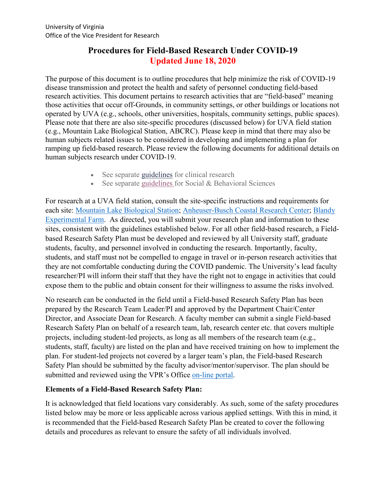# **Procedures for Field-Based Research Under COVID-19 Updated June 18, 2020**

The purpose of this document is to outline procedures that help minimize the risk of COVID-19 disease transmission and protect the health and safety of personnel conducting field-based research activities. This document pertains to research activities that are "field-based" meaning those activities that occur off-Grounds, in community settings, or other buildings or locations not operated by UVA (e.g., schools, other universities, hospitals, community settings, public spaces). Please note that there are also site-specific procedures (discussed below) for UVA field station (e.g., Mountain Lake Biological Station, ABCRC). Please keep in mind that there may also be human subjects related issues to be considered in developing and implementing a plan for ramping up field-based research. Please review the following documents for additional details on human subjects research under COVID-19.

- See separate [guidelines](https://research.virginia.edu/sites/vpr/files/2020-06/ReturnToClinicalResearchJune15.2020.pdf) for clinical research
- See separate [guidelines](https://research.virginia.edu/sites/vpr/files/2020-06/SBS.ResearchResumption16June2020.pdf) for Social & Behavioral Sciences

For research at a UVA field station, consult the site-specific instructions and requirements for each site: [Mountain Lake Biological Station;](https://mlbs.virginia.edu/) [Anheuser-Busch Coastal Research Center;](https://www.abcrc.virginia.edu/siteman2/) [Blandy](http://blandy.virginia.edu/)  [Experimental Farm.](http://blandy.virginia.edu/) As directed, you will submit your research plan and information to these sites, consistent with the guidelines established below. For all other field-based research, a Fieldbased Research Safety Plan must be developed and reviewed by all University staff, graduate students, faculty, and personnel involved in conducting the research. Importantly, faculty, students, and staff must not be compelled to engage in travel or in-person research activities that they are not comfortable conducting during the COVID pandemic. The University's lead faculty researcher/PI will inform their staff that they have the right not to engage in activities that could expose them to the public and obtain consent for their willingness to assume the risks involved.

No research can be conducted in the field until a Field-based Research Safety Plan has been prepared by the Research Team Leader/PI and approved by the Department Chair/Center Director, and Associate Dean for Research. A faculty member can submit a single Field-based Research Safety Plan on behalf of a research team, lab, research center etc. that covers multiple projects, including student-led projects, as long as all members of the research team (e.g., students, staff, faculty) are listed on the plan and have received training on how to implement the plan. For student-led projects not covered by a larger team's plan, the Field-based Research Safety Plan should be submitted by the faculty advisor/mentor/supervisor. The plan should be submitted and reviewed using the VPR's Office [on-line portal.](https://research.virginia.edu/research-ramp-toolkit)

### **Elements of a Field-Based Research Safety Plan:**

It is acknowledged that field locations vary considerably. As such, some of the safety procedures listed below may be more or less applicable across various applied settings. With this in mind, it is recommended that the Field-based Research Safety Plan be created to cover the following details and procedures as relevant to ensure the safety of all individuals involved.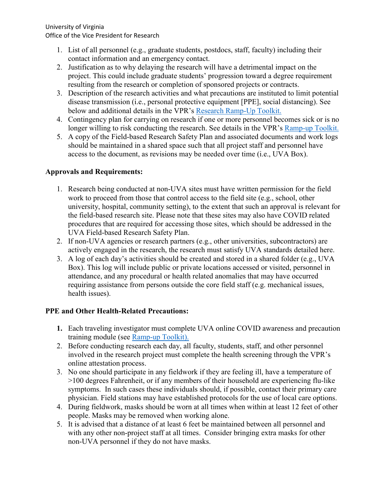University of Virginia Office of the Vice President for Research

- 1. List of all personnel (e.g., graduate students, postdocs, staff, faculty) including their contact information and an emergency contact.
- 2. Justification as to why delaying the research will have a detrimental impact on the project. This could include graduate students' progression toward a degree requirement resulting from the research or completion of sponsored projects or contracts.
- 3. Description of the research activities and what precautions are instituted to limit potential disease transmission (i.e., personal protective equipment [PPE], social distancing). See below and additional details in the VPR's [Research Ramp-Up Toolkit.](https://research.virginia.edu/research-ramp-toolkit)
- 4. Contingency plan for carrying on research if one or more personnel becomes sick or is no longer willing to risk conducting the research. See details in the VPR's [Ramp-up Toolkit.](https://research.virginia.edu/research-ramp-toolkit)
- 5. A copy of the Field-based Research Safety Plan and associated documents and work logs should be maintained in a shared space such that all project staff and personnel have access to the document, as revisions may be needed over time (i.e., UVA Box).

## **Approvals and Requirements:**

- 1. Research being conducted at non-UVA sites must have written permission for the field work to proceed from those that control access to the field site (e.g., school, other university, hospital, community setting), to the extent that such an approval is relevant for the field-based research site. Please note that these sites may also have COVID related procedures that are required for accessing those sites, which should be addressed in the UVA Field-based Research Safety Plan.
- 2. If non-UVA agencies or research partners (e.g., other universities, subcontractors) are actively engaged in the research, the research must satisfy UVA standards detailed here.
- 3. A log of each day's activities should be created and stored in a shared folder (e.g., UVA Box). This log will include public or private locations accessed or visited, personnel in attendance, and any procedural or health related anomalies that may have occurred requiring assistance from persons outside the core field staff (e.g. mechanical issues, health issues).

## **PPE and Other Health-Related Precautions:**

- **1.** Each traveling investigator must complete UVA online COVID awareness and precaution training module (see [Ramp-up Toolkit\)](https://research.virginia.edu/research-ramp-toolkit).
- 2. Before conducting research each day, all faculty, students, staff, and other personnel involved in the research project must complete the health screening through the VPR's online attestation process.
- 3. No one should participate in any fieldwork if they are feeling ill, have a temperature of >100 degrees Fahrenheit, or if any members of their household are experiencing flu-like symptoms. In such cases these individuals should, if possible, contact their primary care physician. Field stations may have established protocols for the use of local care options.
- 4. During fieldwork, masks should be worn at all times when within at least 12 feet of other people. Masks may be removed when working alone.
- 5. It is advised that a distance of at least 6 feet be maintained between all personnel and with any other non-project staff at all times. Consider bringing extra masks for other non-UVA personnel if they do not have masks.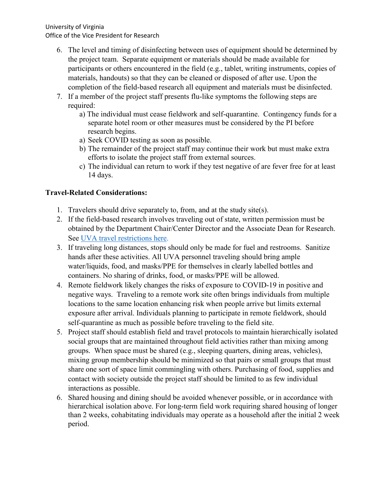- 6. The level and timing of disinfecting between uses of equipment should be determined by the project team. Separate equipment or materials should be made available for participants or others encountered in the field (e.g., tablet, writing instruments, copies of materials, handouts) so that they can be cleaned or disposed of after use. Upon the completion of the field-based research all equipment and materials must be disinfected.
- 7. If a member of the project staff presents flu-like symptoms the following steps are required:
	- a) The individual must cease fieldwork and self-quarantine. Contingency funds for a separate hotel room or other measures must be considered by the PI before research begins.
	- a) Seek COVID testing as soon as possible.
	- b) The remainder of the project staff may continue their work but must make extra efforts to isolate the project staff from external sources.
	- c) The individual can return to work if they test negative of are fever free for at least 14 days.

## **Travel-Related Considerations:**

- 1. Travelers should drive separately to, from, and at the study site(s).
- 2. If the field-based research involves traveling out of state, written permission must be obtained by the Department Chair/Center Director and the Associate Dean for Research. See [UVA travel restrictions here.](https://www.virginia.edu/coronavirus/faq)
- 3. If traveling long distances, stops should only be made for fuel and restrooms. Sanitize hands after these activities. All UVA personnel traveling should bring ample water/liquids, food, and masks/PPE for themselves in clearly labelled bottles and containers. No sharing of drinks, food, or masks/PPE will be allowed.
- 4. Remote fieldwork likely changes the risks of exposure to COVID-19 in positive and negative ways. Traveling to a remote work site often brings individuals from multiple locations to the same location enhancing risk when people arrive but limits external exposure after arrival. Individuals planning to participate in remote fieldwork, should self-quarantine as much as possible before traveling to the field site.
- 5. Project staff should establish field and travel protocols to maintain hierarchically isolated social groups that are maintained throughout field activities rather than mixing among groups. When space must be shared (e.g., sleeping quarters, dining areas, vehicles), mixing group membership should be minimized so that pairs or small groups that must share one sort of space limit commingling with others. Purchasing of food, supplies and contact with society outside the project staff should be limited to as few individual interactions as possible.
- 6. Shared housing and dining should be avoided whenever possible, or in accordance with hierarchical isolation above. For long-term field work requiring shared housing of longer than 2 weeks, cohabitating individuals may operate as a household after the initial 2 week period.